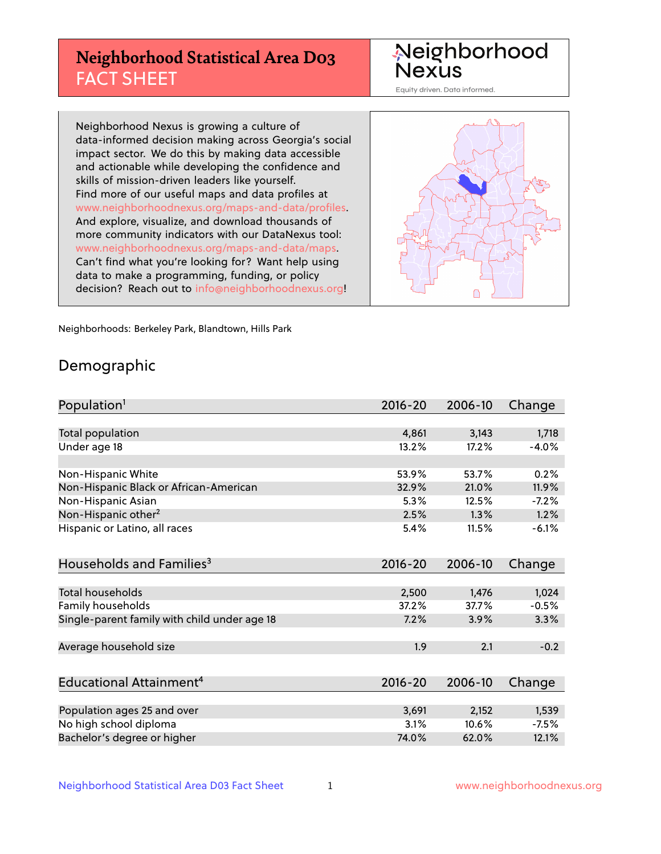# **Neighborhood Statistical Area D03** FACT SHEET

Neighborhood Nexus

Equity driven. Data informed.

Neighborhood Nexus is growing a culture of data-informed decision making across Georgia's social impact sector. We do this by making data accessible and actionable while developing the confidence and skills of mission-driven leaders like yourself. Find more of our useful maps and data profiles at www.neighborhoodnexus.org/maps-and-data/profiles. And explore, visualize, and download thousands of more community indicators with our DataNexus tool: www.neighborhoodnexus.org/maps-and-data/maps. Can't find what you're looking for? Want help using data to make a programming, funding, or policy decision? Reach out to [info@neighborhoodnexus.org!](mailto:info@neighborhoodnexus.org)



Neighborhoods: Berkeley Park, Blandtown, Hills Park

### Demographic

| Population <sup>1</sup>                      | 2016-20 | 2006-10 | Change  |
|----------------------------------------------|---------|---------|---------|
|                                              |         |         |         |
| <b>Total population</b>                      | 4,861   | 3,143   | 1,718   |
| Under age 18                                 | 13.2%   | 17.2%   | $-4.0%$ |
|                                              |         |         |         |
| Non-Hispanic White                           | 53.9%   | 53.7%   | 0.2%    |
| Non-Hispanic Black or African-American       | 32.9%   | 21.0%   | 11.9%   |
| Non-Hispanic Asian                           | 5.3%    | 12.5%   | $-7.2%$ |
| Non-Hispanic other <sup>2</sup>              | 2.5%    | 1.3%    | 1.2%    |
| Hispanic or Latino, all races                | 5.4%    | 11.5%   | $-6.1%$ |
|                                              |         |         |         |
| Households and Families <sup>3</sup>         | 2016-20 | 2006-10 | Change  |
|                                              |         |         |         |
| Total households                             | 2,500   | 1,476   | 1,024   |
| Family households                            | 37.2%   | 37.7%   | $-0.5%$ |
| Single-parent family with child under age 18 | 7.2%    | 3.9%    | 3.3%    |
|                                              |         |         |         |
| Average household size                       | 1.9     | 2.1     | $-0.2$  |
|                                              |         |         |         |
| Educational Attainment <sup>4</sup>          | 2016-20 | 2006-10 | Change  |
|                                              |         |         |         |
| Population ages 25 and over                  | 3,691   | 2,152   | 1,539   |
| No high school diploma                       | 3.1%    | 10.6%   | $-7.5%$ |
| Bachelor's degree or higher                  | 74.0%   | 62.0%   | 12.1%   |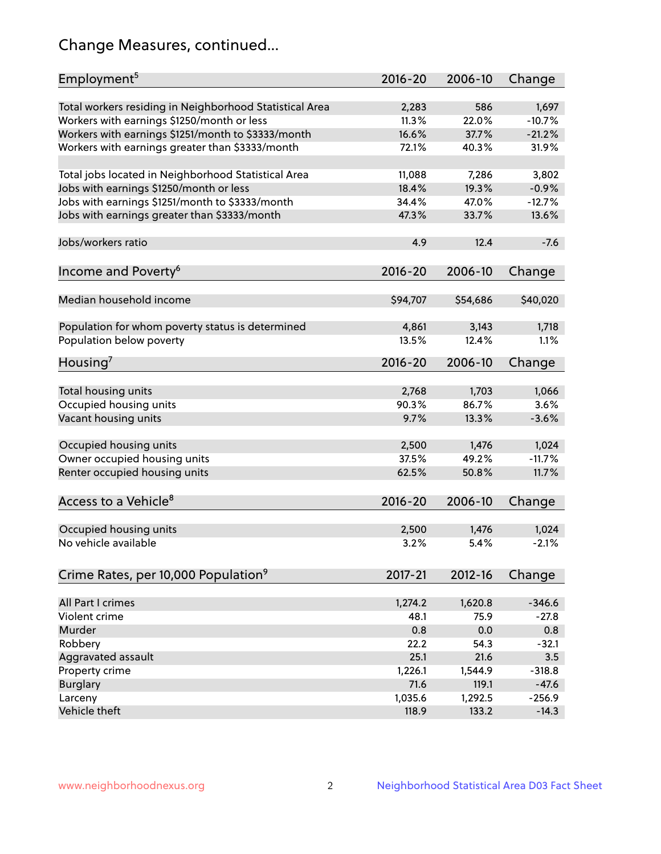# Change Measures, continued...

| Employment <sup>5</sup>                                 | 2016-20         | 2006-10         | Change   |
|---------------------------------------------------------|-----------------|-----------------|----------|
| Total workers residing in Neighborhood Statistical Area | 2,283           | 586             | 1,697    |
| Workers with earnings \$1250/month or less              | 11.3%           | 22.0%           | $-10.7%$ |
| Workers with earnings \$1251/month to \$3333/month      | 16.6%           | 37.7%           | $-21.2%$ |
| Workers with earnings greater than \$3333/month         | 72.1%           | 40.3%           | 31.9%    |
|                                                         |                 |                 |          |
| Total jobs located in Neighborhood Statistical Area     | 11,088          | 7,286           | 3,802    |
| Jobs with earnings \$1250/month or less                 | 18.4%           | 19.3%           | $-0.9%$  |
| Jobs with earnings \$1251/month to \$3333/month         | 34.4%           | 47.0%           | $-12.7%$ |
| Jobs with earnings greater than \$3333/month            | 47.3%           | 33.7%           | 13.6%    |
|                                                         |                 |                 |          |
| Jobs/workers ratio                                      | 4.9             | 12.4            | $-7.6$   |
|                                                         |                 |                 |          |
| Income and Poverty <sup>6</sup>                         | 2016-20         | 2006-10         | Change   |
|                                                         |                 |                 |          |
| Median household income                                 | \$94,707        | \$54,686        | \$40,020 |
|                                                         |                 |                 |          |
|                                                         |                 | 3,143           | 1,718    |
| Population for whom poverty status is determined        | 4,861<br>13.5%  | 12.4%           | 1.1%     |
| Population below poverty                                |                 |                 |          |
| Housing <sup>7</sup>                                    | 2016-20         | 2006-10         | Change   |
|                                                         |                 |                 |          |
| Total housing units                                     | 2,768           | 1,703           | 1,066    |
| Occupied housing units                                  | 90.3%           | 86.7%           | 3.6%     |
| Vacant housing units                                    | 9.7%            | 13.3%           | $-3.6%$  |
|                                                         |                 |                 |          |
| Occupied housing units                                  | 2,500           | 1,476           | 1,024    |
| Owner occupied housing units                            | 37.5%           | 49.2%           | $-11.7%$ |
| Renter occupied housing units                           | 62.5%           | 50.8%           | 11.7%    |
|                                                         |                 |                 |          |
| Access to a Vehicle <sup>8</sup>                        | $2016 - 20$     | 2006-10         | Change   |
|                                                         |                 |                 |          |
| Occupied housing units                                  | 2,500           | 1,476           | 1,024    |
| No vehicle available                                    | 3.2%            | 5.4%            | $-2.1%$  |
|                                                         |                 |                 |          |
| Crime Rates, per 10,000 Population <sup>9</sup>         | 2017-21         | 2012-16         | Change   |
|                                                         |                 |                 |          |
| All Part I crimes                                       |                 |                 | $-346.6$ |
| Violent crime                                           | 1,274.2<br>48.1 | 1,620.8<br>75.9 | $-27.8$  |
| Murder                                                  |                 |                 |          |
|                                                         | 0.8             | 0.0             | 0.8      |
| Robbery                                                 | 22.2            | 54.3            | $-32.1$  |
| Aggravated assault                                      | 25.1            | 21.6            | 3.5      |
| Property crime                                          | 1,226.1         | 1,544.9         | $-318.8$ |
| <b>Burglary</b>                                         | 71.6            | 119.1           | $-47.6$  |
| Larceny                                                 | 1,035.6         | 1,292.5         | $-256.9$ |
| Vehicle theft                                           | 118.9           | 133.2           | $-14.3$  |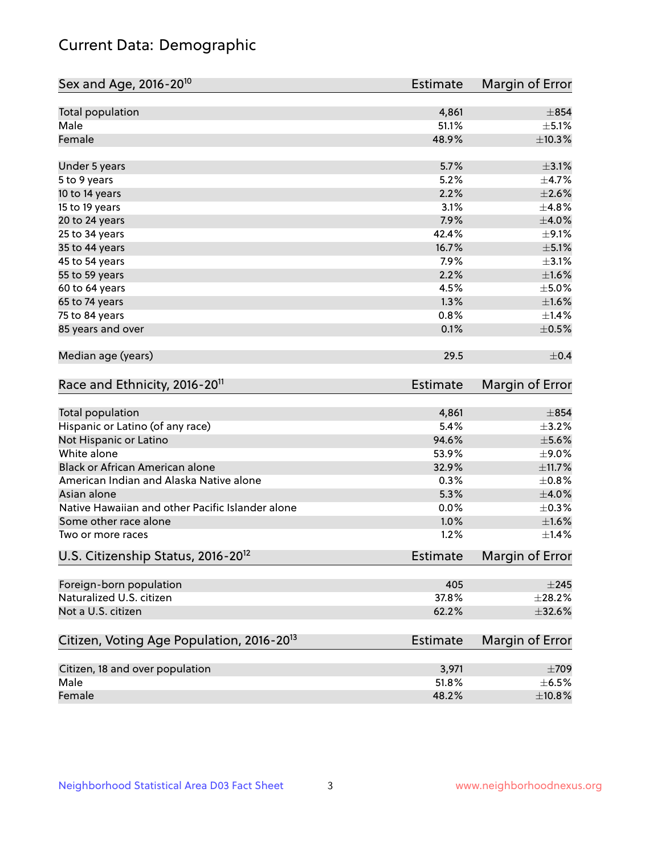# Current Data: Demographic

| Sex and Age, 2016-20 <sup>10</sup>                    | <b>Estimate</b> | Margin of Error |
|-------------------------------------------------------|-----------------|-----------------|
| Total population                                      | 4,861           | $\pm$ 854       |
| Male                                                  | 51.1%           | $\pm$ 5.1%      |
| Female                                                | 48.9%           | $\pm$ 10.3%     |
| Under 5 years                                         | 5.7%            | $\pm$ 3.1%      |
| 5 to 9 years                                          | 5.2%            | $\pm$ 4.7%      |
| 10 to 14 years                                        | 2.2%            | $\pm 2.6\%$     |
| 15 to 19 years                                        | 3.1%            | ±4.8%           |
| 20 to 24 years                                        | 7.9%            | $\pm 4.0\%$     |
| 25 to 34 years                                        | 42.4%           | $\pm$ 9.1%      |
| 35 to 44 years                                        | 16.7%           | $\pm$ 5.1%      |
| 45 to 54 years                                        | 7.9%            | $\pm$ 3.1%      |
| 55 to 59 years                                        | 2.2%            | $\pm1.6\%$      |
| 60 to 64 years                                        | 4.5%            | $\pm$ 5.0%      |
| 65 to 74 years                                        | 1.3%            | $\pm1.6\%$      |
| 75 to 84 years                                        | 0.8%            | ±1.4%           |
| 85 years and over                                     | 0.1%            | $\pm$ 0.5%      |
| Median age (years)                                    | 29.5            | $\pm$ 0.4       |
| Race and Ethnicity, 2016-20 <sup>11</sup>             | <b>Estimate</b> | Margin of Error |
| <b>Total population</b>                               | 4,861           | $\pm$ 854       |
| Hispanic or Latino (of any race)                      | 5.4%            | $\pm$ 3.2%      |
| Not Hispanic or Latino                                | 94.6%           | $\pm$ 5.6%      |
| White alone                                           | 53.9%           | $\pm$ 9.0%      |
| Black or African American alone                       | 32.9%           | ±11.7%          |
| American Indian and Alaska Native alone               | 0.3%            | $\pm$ 0.8%      |
| Asian alone                                           | 5.3%            | ±4.0%           |
| Native Hawaiian and other Pacific Islander alone      | 0.0%            | $\pm$ 0.3%      |
| Some other race alone                                 | 1.0%            | ±1.6%           |
| Two or more races                                     | 1.2%            | ±1.4%           |
| U.S. Citizenship Status, 2016-20 <sup>12</sup>        | Estimate        | Margin of Error |
| Foreign-born population                               | 405             | $\pm 245$       |
| Naturalized U.S. citizen                              | 37.8%           | $\pm 28.2\%$    |
| Not a U.S. citizen                                    | 62.2%           | $\pm$ 32.6%     |
| Citizen, Voting Age Population, 2016-20 <sup>13</sup> | <b>Estimate</b> | Margin of Error |
| Citizen, 18 and over population                       | 3,971           | $\pm 709$       |
| Male                                                  | 51.8%           | $\pm$ 6.5%      |
| Female                                                | 48.2%           | $\pm$ 10.8%     |
|                                                       |                 |                 |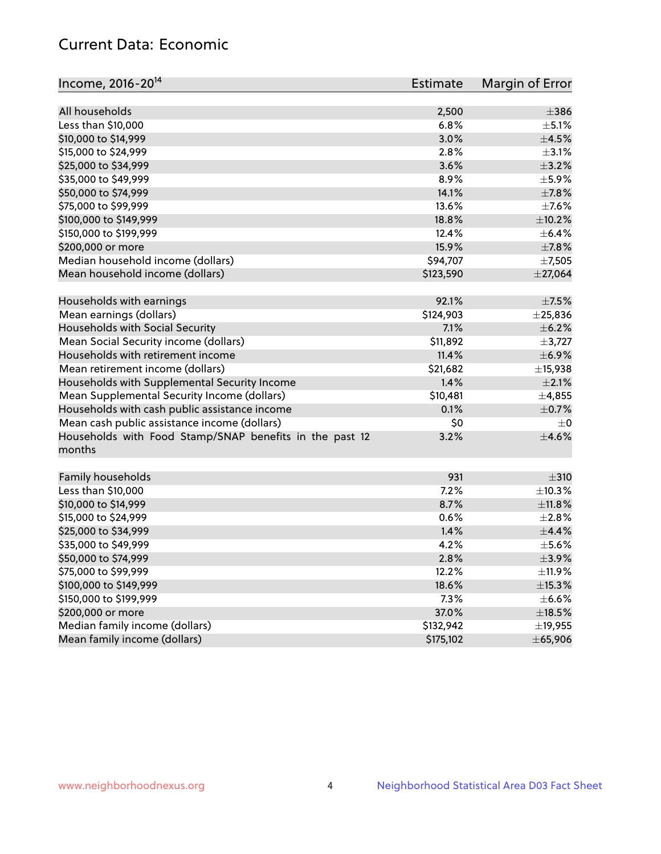# Current Data: Economic

| Income, 2016-20 <sup>14</sup>                                     | <b>Estimate</b> | Margin of Error |
|-------------------------------------------------------------------|-----------------|-----------------|
| All households                                                    |                 | $\pm$ 386       |
|                                                                   | 2,500<br>6.8%   | $\pm$ 5.1%      |
| Less than \$10,000                                                |                 | $\pm$ 4.5%      |
| \$10,000 to \$14,999                                              | 3.0%            |                 |
| \$15,000 to \$24,999                                              | 2.8%            | $\pm$ 3.1%      |
| \$25,000 to \$34,999                                              | 3.6%            | $\pm$ 3.2%      |
| \$35,000 to \$49,999                                              | 8.9%            | $\pm$ 5.9%      |
| \$50,000 to \$74,999                                              | 14.1%           | $\pm$ 7.8%      |
| \$75,000 to \$99,999                                              | 13.6%           | $\pm$ 7.6%      |
| \$100,000 to \$149,999                                            | 18.8%           | ±10.2%          |
| \$150,000 to \$199,999                                            | 12.4%           | $\pm$ 6.4%      |
| \$200,000 or more                                                 | 15.9%           | $\pm$ 7.8%      |
| Median household income (dollars)                                 | \$94,707        | $\pm$ 7,505     |
| Mean household income (dollars)                                   | \$123,590       | $±$ 27,064      |
| Households with earnings                                          | 92.1%           | $\pm$ 7.5%      |
| Mean earnings (dollars)                                           | \$124,903       | $±$ 25,836      |
| Households with Social Security                                   | 7.1%            | $\pm$ 6.2%      |
| Mean Social Security income (dollars)                             | \$11,892        | $\pm$ 3,727     |
| Households with retirement income                                 | 11.4%           | ±6.9%           |
| Mean retirement income (dollars)                                  | \$21,682        | ±15,938         |
| Households with Supplemental Security Income                      | 1.4%            | $\pm 2.1\%$     |
| Mean Supplemental Security Income (dollars)                       | \$10,481        | ±4,855          |
| Households with cash public assistance income                     | 0.1%            | $\pm$ 0.7%      |
| Mean cash public assistance income (dollars)                      | \$0             | $\pm 0$         |
| Households with Food Stamp/SNAP benefits in the past 12<br>months | 3.2%            | $\pm 4.6\%$     |
|                                                                   |                 |                 |
| Family households                                                 | 931             | $\pm$ 310       |
| Less than \$10,000                                                | 7.2%            | ±10.3%          |
| \$10,000 to \$14,999                                              | 8.7%            | ±11.8%          |
| \$15,000 to \$24,999                                              | 0.6%            | $\pm 2.8\%$     |
| \$25,000 to \$34,999                                              | 1.4%            | ±4.4%           |
| \$35,000 to \$49,999                                              | 4.2%            | $\pm$ 5.6%      |
| \$50,000 to \$74,999                                              | 2.8%            | $\pm$ 3.9%      |
| \$75,000 to \$99,999                                              | 12.2%           | ±11.9%          |
| \$100,000 to \$149,999                                            | 18.6%           | ±15.3%          |
| \$150,000 to \$199,999                                            | 7.3%            | $\pm$ 6.6%      |
| \$200,000 or more                                                 | 37.0%           | $\pm$ 18.5%     |
| Median family income (dollars)                                    | \$132,942       | ±19,955         |
| Mean family income (dollars)                                      | \$175,102       | ± 65,906        |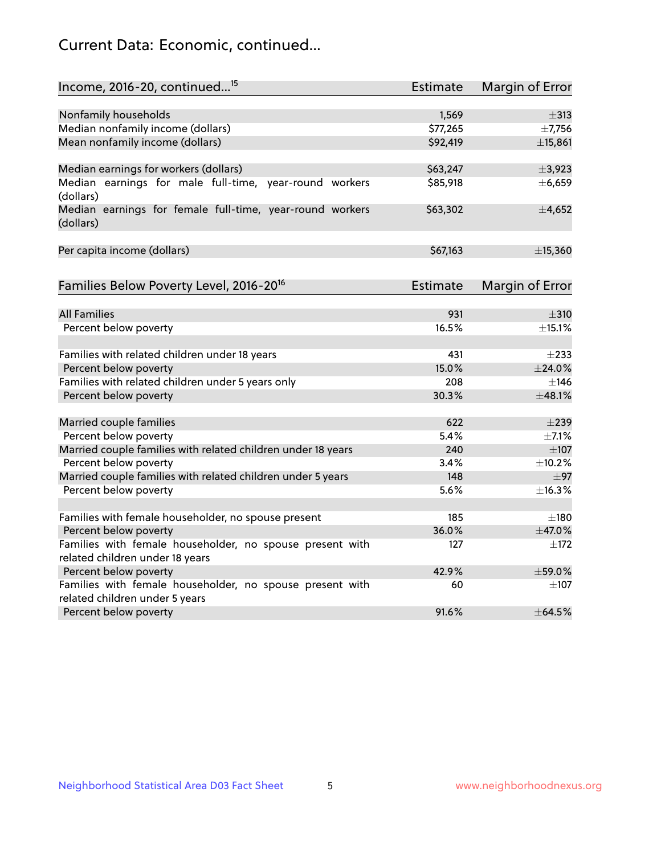# Current Data: Economic, continued...

| Income, 2016-20, continued <sup>15</sup>                                                   | <b>Estimate</b> | <b>Margin of Error</b> |
|--------------------------------------------------------------------------------------------|-----------------|------------------------|
|                                                                                            |                 |                        |
| Nonfamily households                                                                       | 1,569           | $\pm$ 313              |
| Median nonfamily income (dollars)                                                          | \$77,265        | ±7,756                 |
| Mean nonfamily income (dollars)                                                            | \$92,419        | ±15,861                |
| Median earnings for workers (dollars)                                                      | \$63,247        | ±3,923                 |
| Median earnings for male full-time, year-round workers                                     | \$85,918        | ±6,659                 |
| (dollars)                                                                                  |                 |                        |
| Median earnings for female full-time, year-round workers<br>(dollars)                      | \$63,302        | ±4,652                 |
| Per capita income (dollars)                                                                | \$67,163        | ±15,360                |
| Families Below Poverty Level, 2016-20 <sup>16</sup>                                        | <b>Estimate</b> | <b>Margin of Error</b> |
|                                                                                            |                 |                        |
| <b>All Families</b>                                                                        | 931             | $\pm$ 310              |
| Percent below poverty                                                                      | 16.5%           | ±15.1%                 |
| Families with related children under 18 years                                              | 431             | $\pm 233$              |
| Percent below poverty                                                                      | 15.0%           | $±$ 24.0%              |
| Families with related children under 5 years only                                          | 208             | $\pm$ 146              |
| Percent below poverty                                                                      | 30.3%           | ±48.1%                 |
|                                                                                            | 622             | $\pm$ 239              |
| Married couple families<br>Percent below poverty                                           | 5.4%            | $\pm$ 7.1%             |
| Married couple families with related children under 18 years                               | 240             | $\pm 107$              |
| Percent below poverty                                                                      | 3.4%            | ±10.2%                 |
| Married couple families with related children under 5 years                                | 148             | $\pm$ 97               |
| Percent below poverty                                                                      | 5.6%            | ±16.3%                 |
|                                                                                            |                 |                        |
| Families with female householder, no spouse present                                        | 185             | $\pm$ 180              |
| Percent below poverty                                                                      | 36.0%           | ±47.0%                 |
| Families with female householder, no spouse present with                                   | 127             | $\pm$ 172              |
| related children under 18 years                                                            |                 |                        |
| Percent below poverty                                                                      | 42.9%           | ±59.0%                 |
| Families with female householder, no spouse present with<br>related children under 5 years | 60              | $\pm$ 107              |
| Percent below poverty                                                                      | 91.6%           | ±64.5%                 |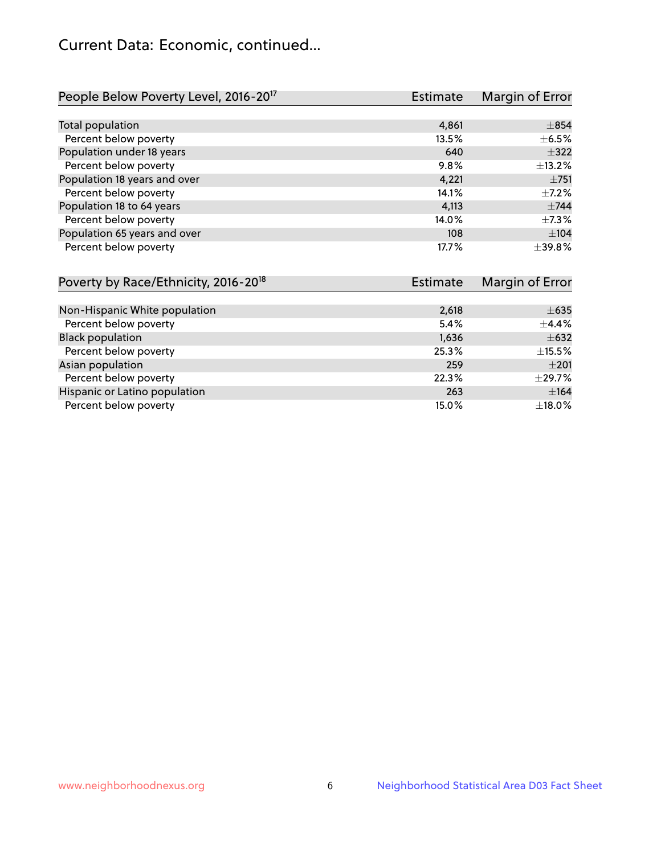# Current Data: Economic, continued...

| People Below Poverty Level, 2016-20 <sup>17</sup> | <b>Estimate</b> | Margin of Error |
|---------------------------------------------------|-----------------|-----------------|
|                                                   |                 |                 |
| Total population                                  | 4,861           | $\pm$ 854       |
| Percent below poverty                             | 13.5%           | $\pm$ 6.5%      |
| Population under 18 years                         | 640             | $\pm$ 322       |
| Percent below poverty                             | 9.8%            | ±13.2%          |
| Population 18 years and over                      | 4,221           | $\pm 751$       |
| Percent below poverty                             | 14.1%           | $+7.2%$         |
| Population 18 to 64 years                         | 4,113           | $\pm$ 744       |
| Percent below poverty                             | 14.0%           | $\pm$ 7.3%      |
| Population 65 years and over                      | 108             | ±104            |
| Percent below poverty                             | 17.7%           | ±39.8%          |

| Poverty by Race/Ethnicity, 2016-20 <sup>18</sup> | <b>Estimate</b> | Margin of Error |
|--------------------------------------------------|-----------------|-----------------|
|                                                  |                 |                 |
| Non-Hispanic White population                    | 2,618           | $\pm 635$       |
| Percent below poverty                            | 5.4%            | $\pm$ 4.4%      |
| <b>Black population</b>                          | 1,636           | $\pm 632$       |
| Percent below poverty                            | 25.3%           | $\pm$ 15.5%     |
| Asian population                                 | 259             | $\pm 201$       |
| Percent below poverty                            | 22.3%           | $\pm$ 29.7%     |
| Hispanic or Latino population                    | 263             | ±164            |
| Percent below poverty                            | 15.0%           | ±18.0%          |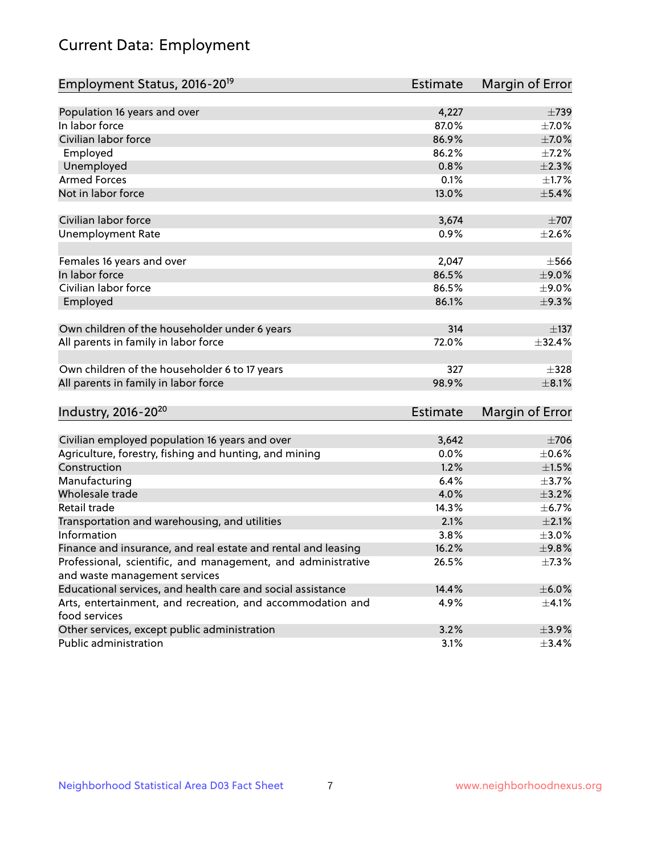# Current Data: Employment

| Employment Status, 2016-20 <sup>19</sup>                      | <b>Estimate</b> | Margin of Error |
|---------------------------------------------------------------|-----------------|-----------------|
|                                                               |                 |                 |
| Population 16 years and over                                  | 4,227           | $\pm 739$       |
| In labor force                                                | 87.0%           | $\pm$ 7.0%      |
| Civilian labor force                                          | 86.9%           | $\pm$ 7.0%      |
| Employed                                                      | 86.2%           | $\pm$ 7.2%      |
| Unemployed                                                    | 0.8%            | $\pm 2.3\%$     |
| <b>Armed Forces</b>                                           | 0.1%            | $\pm1.7\%$      |
| Not in labor force                                            | 13.0%           | $\pm$ 5.4%      |
| Civilian labor force                                          | 3,674           | $\pm 707$       |
| <b>Unemployment Rate</b>                                      | 0.9%            | $\pm 2.6\%$     |
|                                                               |                 |                 |
| Females 16 years and over                                     | 2,047           | $\pm$ 566       |
| In labor force                                                | 86.5%           | $\pm$ 9.0%      |
| Civilian labor force                                          | 86.5%           | $\pm$ 9.0%      |
| Employed                                                      | 86.1%           | ±9.3%           |
|                                                               |                 |                 |
| Own children of the householder under 6 years                 | 314             | ±137            |
| All parents in family in labor force                          | 72.0%           | ±32.4%          |
| Own children of the householder 6 to 17 years                 | 327             | $\pm$ 328       |
| All parents in family in labor force                          | 98.9%           | $\pm 8.1\%$     |
|                                                               |                 |                 |
| Industry, 2016-20 <sup>20</sup>                               | <b>Estimate</b> | Margin of Error |
| Civilian employed population 16 years and over                | 3,642           | $\pm 706$       |
| Agriculture, forestry, fishing and hunting, and mining        | 0.0%            | $\pm$ 0.6%      |
| Construction                                                  | 1.2%            | $\pm 1.5\%$     |
| Manufacturing                                                 | 6.4%            | $\pm$ 3.7%      |
| Wholesale trade                                               | 4.0%            | $\pm$ 3.2%      |
| Retail trade                                                  | 14.3%           | $\pm$ 6.7%      |
| Transportation and warehousing, and utilities                 | 2.1%            | $\pm 2.1\%$     |
| Information                                                   | 3.8%            | $\pm 3.0\%$     |
| Finance and insurance, and real estate and rental and leasing | 16.2%           | ±9.8%           |
| Professional, scientific, and management, and administrative  | 26.5%           | $\pm$ 7.3%      |
| and waste management services                                 |                 |                 |
| Educational services, and health care and social assistance   | 14.4%           | $\pm$ 6.0%      |
| Arts, entertainment, and recreation, and accommodation and    | 4.9%            | $\pm$ 4.1%      |
| food services                                                 |                 |                 |
| Other services, except public administration                  | 3.2%            | $\pm$ 3.9%      |
| Public administration                                         | 3.1%            | $\pm$ 3.4%      |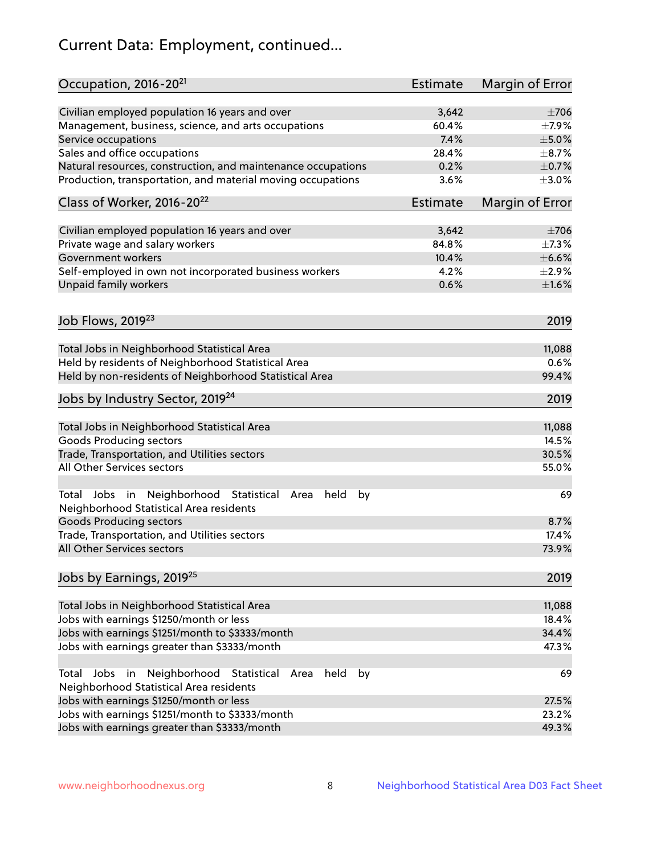# Current Data: Employment, continued...

| Occupation, 2016-20 <sup>21</sup>                                                                                | <b>Estimate</b> | Margin of Error |
|------------------------------------------------------------------------------------------------------------------|-----------------|-----------------|
| Civilian employed population 16 years and over                                                                   | 3,642           | $\pm 706$       |
| Management, business, science, and arts occupations                                                              | 60.4%           | $\pm$ 7.9%      |
| Service occupations                                                                                              | 7.4%            | $\pm$ 5.0%      |
| Sales and office occupations                                                                                     | 28.4%           | $\pm$ 8.7%      |
| Natural resources, construction, and maintenance occupations                                                     | 0.2%            | $\pm$ 0.7%      |
| Production, transportation, and material moving occupations                                                      | 3.6%            | $\pm 3.0\%$     |
| Class of Worker, 2016-20 <sup>22</sup>                                                                           | Estimate        | Margin of Error |
| Civilian employed population 16 years and over                                                                   | 3,642           | $\pm 706$       |
| Private wage and salary workers                                                                                  | 84.8%           | $\pm$ 7.3%      |
| Government workers                                                                                               | 10.4%           | $\pm$ 6.6%      |
| Self-employed in own not incorporated business workers                                                           | 4.2%            | $\pm 2.9\%$     |
| Unpaid family workers                                                                                            | 0.6%            | $\pm1.6\%$      |
|                                                                                                                  |                 |                 |
| Job Flows, 2019 <sup>23</sup>                                                                                    |                 | 2019            |
| Total Jobs in Neighborhood Statistical Area                                                                      |                 | 11,088          |
| Held by residents of Neighborhood Statistical Area                                                               |                 | 0.6%            |
| Held by non-residents of Neighborhood Statistical Area                                                           |                 | 99.4%           |
| Jobs by Industry Sector, 2019 <sup>24</sup>                                                                      |                 | 2019            |
| Total Jobs in Neighborhood Statistical Area                                                                      |                 | 11,088          |
| <b>Goods Producing sectors</b>                                                                                   |                 | 14.5%           |
| Trade, Transportation, and Utilities sectors                                                                     |                 | 30.5%           |
| All Other Services sectors                                                                                       |                 | 55.0%           |
| Total Jobs in Neighborhood Statistical<br>held<br>by<br>Area<br>Neighborhood Statistical Area residents          |                 | 69              |
| <b>Goods Producing sectors</b>                                                                                   |                 | 8.7%            |
| Trade, Transportation, and Utilities sectors                                                                     |                 | 17.4%           |
| All Other Services sectors                                                                                       |                 | 73.9%           |
| Jobs by Earnings, 2019 <sup>25</sup>                                                                             |                 | 2019            |
| Total Jobs in Neighborhood Statistical Area                                                                      |                 | 11,088          |
| Jobs with earnings \$1250/month or less                                                                          |                 | 18.4%           |
| Jobs with earnings \$1251/month to \$3333/month                                                                  |                 | 34.4%           |
| Jobs with earnings greater than \$3333/month                                                                     |                 | 47.3%           |
| Neighborhood Statistical<br>Jobs<br>in<br>held<br>by<br>Total<br>Area<br>Neighborhood Statistical Area residents |                 | 69              |
| Jobs with earnings \$1250/month or less                                                                          |                 | 27.5%           |
| Jobs with earnings \$1251/month to \$3333/month                                                                  |                 | 23.2%           |
| Jobs with earnings greater than \$3333/month                                                                     |                 | 49.3%           |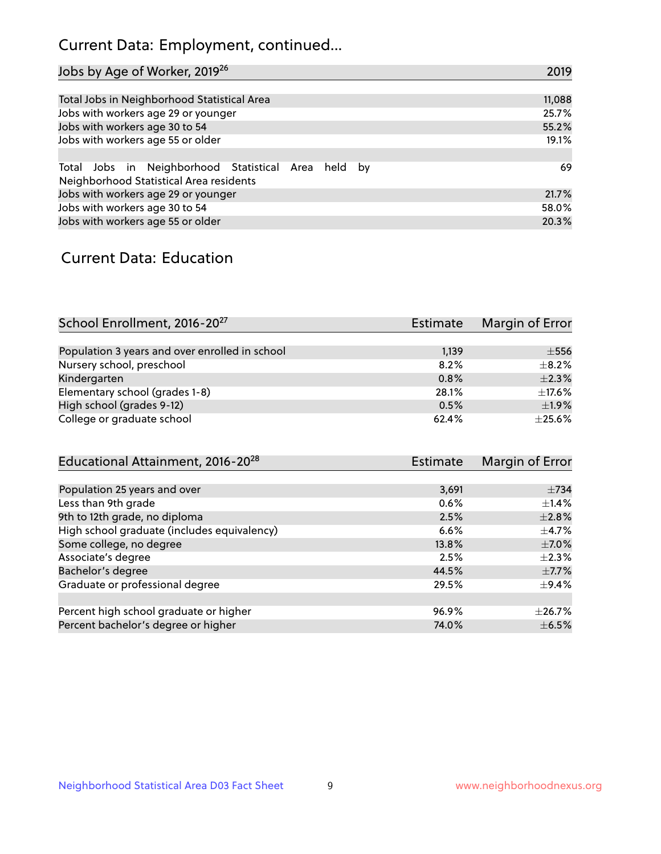# Current Data: Employment, continued...

| Jobs by Age of Worker, 2019 <sup>26</sup>                                                      | 2019   |
|------------------------------------------------------------------------------------------------|--------|
|                                                                                                |        |
| Total Jobs in Neighborhood Statistical Area                                                    | 11,088 |
| Jobs with workers age 29 or younger                                                            | 25.7%  |
| Jobs with workers age 30 to 54                                                                 | 55.2%  |
| Jobs with workers age 55 or older                                                              | 19.1%  |
|                                                                                                |        |
| Total Jobs in Neighborhood Statistical Area held by<br>Neighborhood Statistical Area residents | 69     |
| Jobs with workers age 29 or younger                                                            | 21.7%  |
| Jobs with workers age 30 to 54                                                                 | 58.0%  |
| Jobs with workers age 55 or older                                                              | 20.3%  |

### Current Data: Education

| School Enrollment, 2016-20 <sup>27</sup>       | <b>Estimate</b> | Margin of Error |
|------------------------------------------------|-----------------|-----------------|
|                                                |                 |                 |
| Population 3 years and over enrolled in school | 1,139           | $\pm$ 556       |
| Nursery school, preschool                      | 8.2%            | $+8.2%$         |
| Kindergarten                                   | 0.8%            | $\pm 2.3\%$     |
| Elementary school (grades 1-8)                 | 28.1%           | $\pm$ 17.6%     |
| High school (grades 9-12)                      | 0.5%            | ±1.9%           |
| College or graduate school                     | 62.4%           | $\pm 25.6\%$    |

| Educational Attainment, 2016-20 <sup>28</sup> | <b>Estimate</b> | Margin of Error |
|-----------------------------------------------|-----------------|-----------------|
|                                               |                 |                 |
| Population 25 years and over                  | 3,691           | $\pm 734$       |
| Less than 9th grade                           | 0.6%            | $\pm$ 1.4%      |
| 9th to 12th grade, no diploma                 | 2.5%            | $\pm 2.8\%$     |
| High school graduate (includes equivalency)   | 6.6%            | $\pm$ 4.7%      |
| Some college, no degree                       | 13.8%           | $\pm$ 7.0%      |
| Associate's degree                            | 2.5%            | $\pm 2.3\%$     |
| Bachelor's degree                             | 44.5%           | $\pm$ 7.7%      |
| Graduate or professional degree               | 29.5%           | $\pm$ 9.4%      |
|                                               |                 |                 |
| Percent high school graduate or higher        | 96.9%           | $\pm$ 26.7%     |
| Percent bachelor's degree or higher           | 74.0%           | $\pm$ 6.5%      |
|                                               |                 |                 |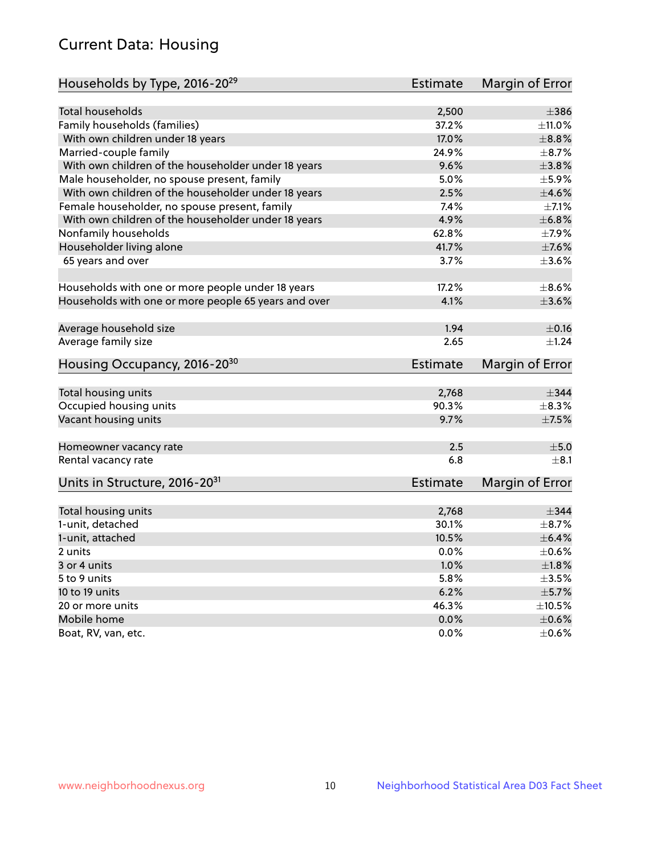# Current Data: Housing

| Households by Type, 2016-20 <sup>29</sup>            | <b>Estimate</b> | Margin of Error |
|------------------------------------------------------|-----------------|-----------------|
|                                                      |                 |                 |
| Total households                                     | 2,500           | $\pm$ 386       |
| Family households (families)                         | 37.2%           | $\pm$ 11.0%     |
| With own children under 18 years                     | 17.0%           | $\pm$ 8.8%      |
| Married-couple family                                | 24.9%           | $\pm$ 8.7%      |
| With own children of the householder under 18 years  | 9.6%            | $\pm 3.8\%$     |
| Male householder, no spouse present, family          | 5.0%            | $\pm$ 5.9%      |
| With own children of the householder under 18 years  | 2.5%            | $\pm 4.6\%$     |
| Female householder, no spouse present, family        | 7.4%            | $\pm$ 7.1%      |
| With own children of the householder under 18 years  | 4.9%            | ±6.8%           |
| Nonfamily households                                 | 62.8%           | $\pm$ 7.9%      |
| Householder living alone                             | 41.7%           | $\pm$ 7.6%      |
| 65 years and over                                    | 3.7%            | $\pm$ 3.6%      |
|                                                      |                 |                 |
| Households with one or more people under 18 years    | 17.2%           | $\pm$ 8.6%      |
| Households with one or more people 65 years and over | 4.1%            | $\pm$ 3.6%      |
|                                                      |                 |                 |
| Average household size                               | 1.94            | $\pm$ 0.16      |
| Average family size                                  | 2.65            | $\pm$ 1.24      |
| Housing Occupancy, 2016-20 <sup>30</sup>             | <b>Estimate</b> | Margin of Error |
|                                                      |                 |                 |
| Total housing units                                  | 2,768           | $\pm$ 344       |
| Occupied housing units                               | 90.3%           | $\pm$ 8.3%      |
| Vacant housing units                                 | 9.7%            | $\pm$ 7.5%      |
| Homeowner vacancy rate                               | 2.5             | ±5.0            |
| Rental vacancy rate                                  | 6.8             | $+8.1$          |
| Units in Structure, 2016-20 <sup>31</sup>            | Estimate        | Margin of Error |
|                                                      |                 |                 |
| Total housing units                                  | 2,768           | $\pm$ 344       |
| 1-unit, detached                                     | 30.1%           | $\pm$ 8.7%      |
| 1-unit, attached                                     | 10.5%           | $\pm$ 6.4%      |
| 2 units                                              | 0.0%            | $\pm$ 0.6%      |
| 3 or 4 units                                         | 1.0%            | $\pm1.8\%$      |
| 5 to 9 units                                         | 5.8%            | $\pm 3.5\%$     |
| 10 to 19 units                                       | 6.2%            | $\pm$ 5.7%      |
| 20 or more units                                     | 46.3%           | $\pm 10.5\%$    |
| Mobile home                                          | 0.0%            | $\pm$ 0.6%      |
| Boat, RV, van, etc.                                  | $0.0\%$         | $\pm$ 0.6%      |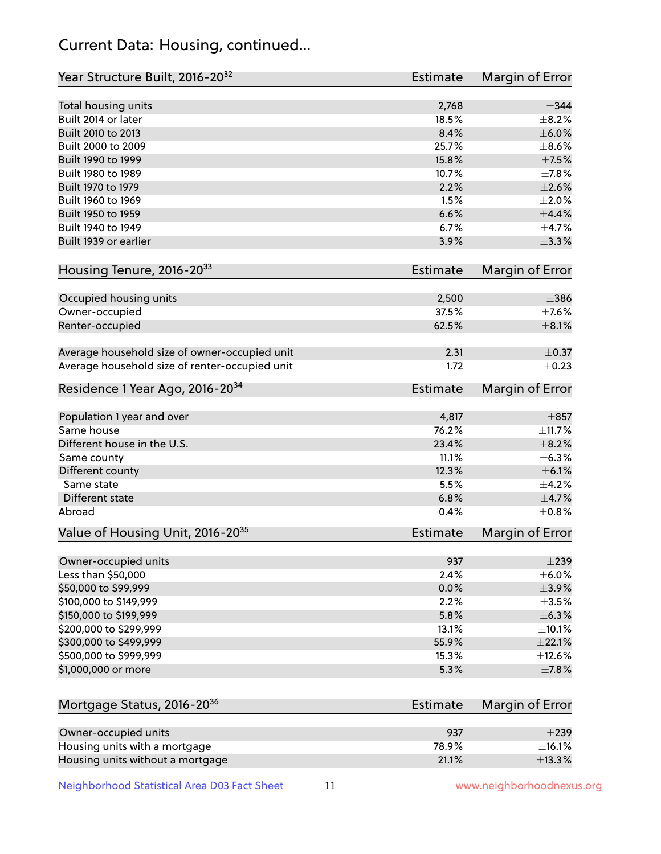# Current Data: Housing, continued...

| Year Structure Built, 2016-20 <sup>32</sup>    | Estimate | Margin of Error |
|------------------------------------------------|----------|-----------------|
| Total housing units                            | 2,768    | $\pm$ 344       |
| Built 2014 or later                            | 18.5%    | $\pm$ 8.2%      |
| Built 2010 to 2013                             | 8.4%     | $\pm$ 6.0%      |
| Built 2000 to 2009                             | 25.7%    | $\pm$ 8.6%      |
| Built 1990 to 1999                             | 15.8%    | $\pm$ 7.5%      |
| Built 1980 to 1989                             | 10.7%    | $\pm$ 7.8%      |
| Built 1970 to 1979                             | 2.2%     | $\pm 2.6\%$     |
| Built 1960 to 1969                             | 1.5%     | $\pm 2.0\%$     |
| Built 1950 to 1959                             | 6.6%     | $\pm$ 4.4%      |
| Built 1940 to 1949                             | 6.7%     | $\pm$ 4.7%      |
| Built 1939 or earlier                          | 3.9%     | $\pm$ 3.3%      |
| Housing Tenure, 2016-2033                      | Estimate | Margin of Error |
|                                                |          |                 |
| Occupied housing units                         | 2,500    | $\pm$ 386       |
| Owner-occupied                                 | 37.5%    | $\pm$ 7.6%      |
| Renter-occupied                                | 62.5%    | $\pm 8.1\%$     |
| Average household size of owner-occupied unit  | 2.31     | $\pm$ 0.37      |
| Average household size of renter-occupied unit | 1.72     | $\pm$ 0.23      |
| Residence 1 Year Ago, 2016-20 <sup>34</sup>    | Estimate | Margin of Error |
| Population 1 year and over                     | 4,817    | $\pm$ 857       |
| Same house                                     | 76.2%    | ±11.7%          |
| Different house in the U.S.                    | 23.4%    | $\pm$ 8.2%      |
| Same county                                    | 11.1%    | $\pm$ 6.3%      |
| Different county                               | 12.3%    | $\pm$ 6.1%      |
| Same state                                     | 5.5%     | $\pm$ 4.2%      |
| <b>Different state</b>                         | 6.8%     | $\pm$ 4.7%      |
| Abroad                                         | 0.4%     | $\pm$ 0.8%      |
| Value of Housing Unit, 2016-20 <sup>35</sup>   | Estimate | Margin of Error |
|                                                |          |                 |
| Owner-occupied units                           | 937      | $\pm 239$       |
| Less than \$50,000                             | 2.4%     | $\pm$ 6.0%      |
| \$50,000 to \$99,999                           | 0.0%     | ±3.9%           |
| \$100,000 to \$149,999                         | 2.2%     | $\pm$ 3.5%      |
| \$150,000 to \$199,999                         | 5.8%     | $\pm$ 6.3%      |
| \$200,000 to \$299,999                         | 13.1%    | $\pm$ 10.1%     |
| \$300,000 to \$499,999                         | 55.9%    | $\pm 22.1\%$    |
| \$500,000 to \$999,999                         | 15.3%    | ±12.6%          |
| \$1,000,000 or more                            | 5.3%     | $\pm$ 7.8%      |
| Mortgage Status, 2016-20 <sup>36</sup>         | Estimate | Margin of Error |
|                                                |          |                 |
| Owner-occupied units                           | 937      | $\pm 239$       |
| Housing units with a mortgage                  | 78.9%    | $\pm$ 16.1%     |
| Housing units without a mortgage               | 21.1%    | ±13.3%          |

Neighborhood Statistical Area D03 Fact Sheet 11 11 www.neighborhoodnexus.org

Housing units without a mortgage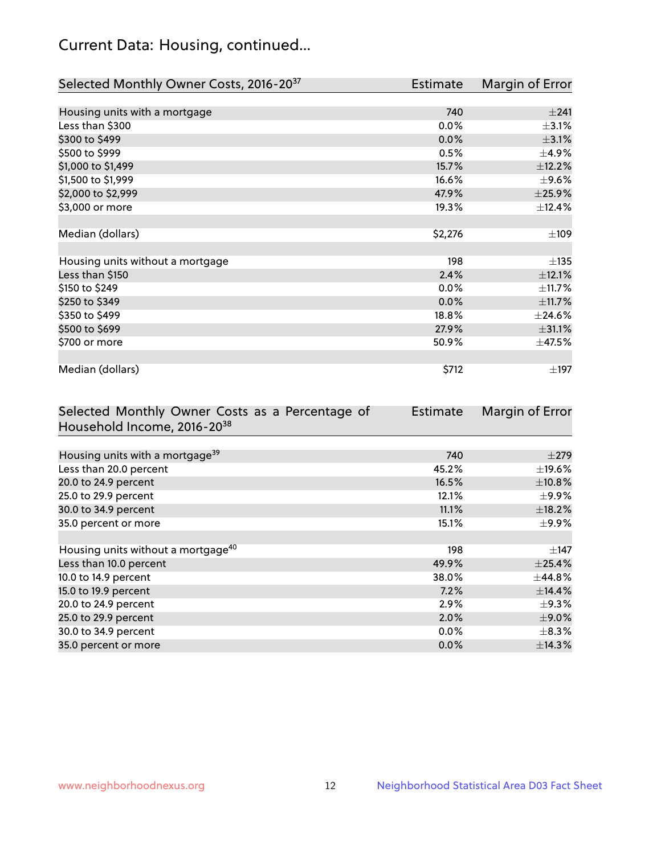# Current Data: Housing, continued...

| Selected Monthly Owner Costs, 2016-20 <sup>37</sup> | <b>Estimate</b> | Margin of Error |
|-----------------------------------------------------|-----------------|-----------------|
|                                                     |                 |                 |
| Housing units with a mortgage                       | 740             | ±241            |
| Less than \$300                                     | 0.0%            | $\pm$ 3.1%      |
| \$300 to \$499                                      | 0.0%            | $\pm$ 3.1%      |
| \$500 to \$999                                      | 0.5%            | $\pm$ 4.9%      |
| \$1,000 to \$1,499                                  | 15.7%           | ±12.2%          |
| \$1,500 to \$1,999                                  | 16.6%           | $\pm$ 9.6%      |
| \$2,000 to \$2,999                                  | 47.9%           | ±25.9%          |
| \$3,000 or more                                     | 19.3%           | ±12.4%          |
|                                                     |                 |                 |
| Median (dollars)                                    | \$2,276         | ±109            |
|                                                     |                 |                 |
| Housing units without a mortgage                    | 198             | ±135            |
| Less than \$150                                     | 2.4%            | ±12.1%          |
| \$150 to \$249                                      | $0.0\%$         | ±11.7%          |
| \$250 to \$349                                      | 0.0%            | ±11.7%          |
| \$350 to \$499                                      | 18.8%           | ±24.6%          |
| \$500 to \$699                                      | 27.9%           | ±31.1%          |
| \$700 or more                                       | 50.9%           | ±47.5%          |
|                                                     |                 |                 |
| Median (dollars)                                    | \$712           | $\pm$ 197       |

| Selected Monthly Owner Costs as a Percentage of | <b>Estimate</b> | Margin of Error |
|-------------------------------------------------|-----------------|-----------------|
| Household Income, 2016-20 <sup>38</sup>         |                 |                 |
|                                                 |                 |                 |
| Housing units with a mortgage <sup>39</sup>     | 740             | $\pm$ 279       |
| Less than 20.0 percent                          | 45.2%           | $\pm$ 19.6%     |
| 20.0 to 24.9 percent                            | 16.5%           | $\pm$ 10.8%     |
| 25.0 to 29.9 percent                            | 12.1%           | $\pm$ 9.9%      |
| 30.0 to 34.9 percent                            | 11.1%           | $\pm$ 18.2%     |
| 35.0 percent or more                            | 15.1%           | $\pm$ 9.9%      |
|                                                 |                 |                 |
| Housing units without a mortgage <sup>40</sup>  | 198             | $\pm$ 147       |
| Less than 10.0 percent                          | 49.9%           | $\pm$ 25.4%     |
| 10.0 to 14.9 percent                            | 38.0%           | $\pm$ 44.8%     |
| 15.0 to 19.9 percent                            | 7.2%            | ±14.4%          |
| 20.0 to 24.9 percent                            | 2.9%            | $\pm$ 9.3%      |
| 25.0 to 29.9 percent                            | 2.0%            | $\pm$ 9.0%      |
| 30.0 to 34.9 percent                            | $0.0\%$         | $\pm$ 8.3%      |
| 35.0 percent or more                            | 0.0%            | $\pm$ 14.3%     |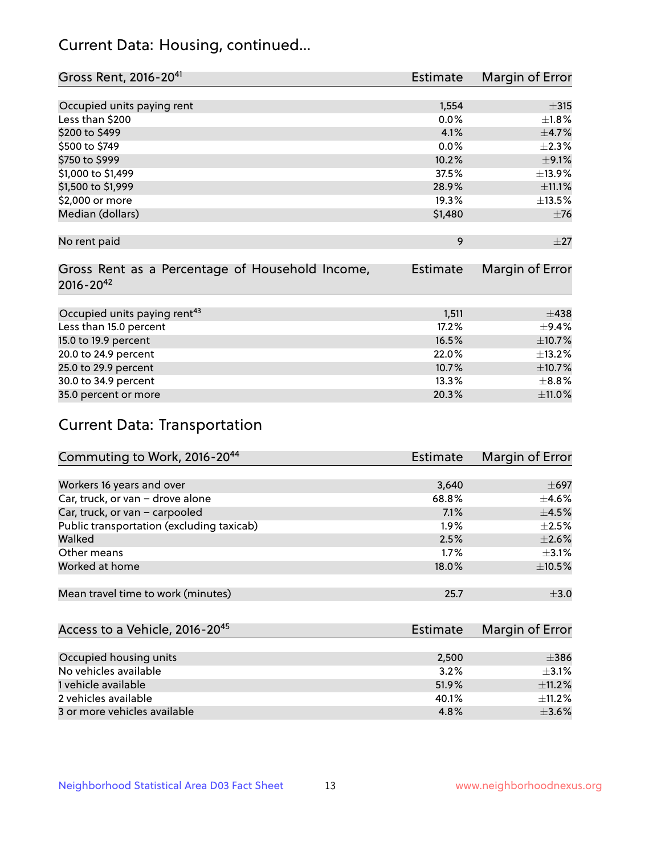# Current Data: Housing, continued...

| Gross Rent, 2016-20 <sup>41</sup>               | <b>Estimate</b> | Margin of Error |
|-------------------------------------------------|-----------------|-----------------|
|                                                 |                 |                 |
| Occupied units paying rent                      | 1,554           | $\pm$ 315       |
| Less than \$200                                 | 0.0%            | $\pm1.8\%$      |
| \$200 to \$499                                  | 4.1%            | $\pm$ 4.7%      |
| \$500 to \$749                                  | 0.0%            | $\pm 2.3\%$     |
| \$750 to \$999                                  | 10.2%           | $\pm$ 9.1%      |
| \$1,000 to \$1,499                              | 37.5%           | ±13.9%          |
| \$1,500 to \$1,999                              | 28.9%           | ±11.1%          |
| \$2,000 or more                                 | 19.3%           | $\pm$ 13.5%     |
| Median (dollars)                                | \$1,480         | $\pm 76$        |
|                                                 |                 |                 |
| No rent paid                                    | 9               | $\pm 27$        |
|                                                 |                 |                 |
| Gross Rent as a Percentage of Household Income, | <b>Estimate</b> | Margin of Error |
| $2016 - 20^{42}$                                |                 |                 |
|                                                 |                 |                 |
| Occupied units paying rent <sup>43</sup>        | 1,511           | $\pm$ 438       |
| Less than 15.0 percent                          | 17.2%           | $+9.4%$         |
| 15.0 to 19.9 percent                            | 16.5%           | ±10.7%          |
| 20.0 to 24.9 percent                            | 22.0%           | ±13.2%          |
| 25.0 to 29.9 percent                            | 10.7%           | ±10.7%          |
| 30.0 to 34.9 percent                            | 13.3%           | $\pm$ 8.8%      |
| 35.0 percent or more                            | 20.3%           | $\pm$ 11.0%     |

# Current Data: Transportation

| Commuting to Work, 2016-20 <sup>44</sup>  | <b>Estimate</b> | Margin of Error |
|-------------------------------------------|-----------------|-----------------|
|                                           |                 |                 |
| Workers 16 years and over                 | 3,640           | $\pm 697$       |
| Car, truck, or van - drove alone          | 68.8%           | $\pm$ 4.6%      |
| Car, truck, or van - carpooled            | 7.1%            | $\pm$ 4.5%      |
| Public transportation (excluding taxicab) | 1.9%            | $\pm 2.5\%$     |
| Walked                                    | 2.5%            | $\pm 2.6\%$     |
| Other means                               | 1.7%            | $\pm$ 3.1%      |
| Worked at home                            | 18.0%           | $\pm$ 10.5%     |
|                                           |                 |                 |
| Mean travel time to work (minutes)        | 25.7            | $\pm$ 3.0       |

| Access to a Vehicle, 2016-20 <sup>45</sup> | Estimate | Margin of Error |
|--------------------------------------------|----------|-----------------|
|                                            |          |                 |
| Occupied housing units                     | 2,500    | $\pm$ 386       |
| No vehicles available                      | 3.2%     | $+3.1%$         |
| 1 vehicle available                        | 51.9%    | $\pm$ 11.2%     |
| 2 vehicles available                       | 40.1%    | $+11.2%$        |
| 3 or more vehicles available               | 4.8%     | $+3.6%$         |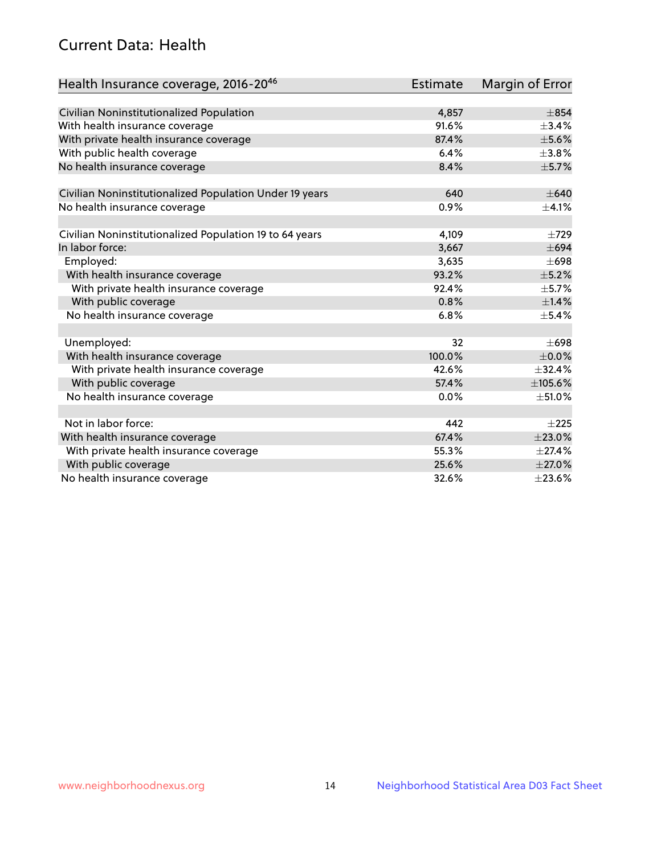# Current Data: Health

| Health Insurance coverage, 2016-2046                    | <b>Estimate</b> | <b>Margin of Error</b> |
|---------------------------------------------------------|-----------------|------------------------|
|                                                         |                 |                        |
| Civilian Noninstitutionalized Population                | 4,857           | $\pm 854$              |
| With health insurance coverage                          | 91.6%           | $\pm$ 3.4%             |
| With private health insurance coverage                  | 87.4%           | $\pm$ 5.6%             |
| With public health coverage                             | 6.4%            | $\pm$ 3.8%             |
| No health insurance coverage                            | 8.4%            | $\pm$ 5.7%             |
| Civilian Noninstitutionalized Population Under 19 years | 640             | $\pm 640$              |
| No health insurance coverage                            | 0.9%            | $\pm 4.1\%$            |
|                                                         |                 |                        |
| Civilian Noninstitutionalized Population 19 to 64 years | 4,109           | $\pm 729$              |
| In labor force:                                         | 3,667           | $\pm 694$              |
| Employed:                                               | 3,635           | $\pm 698$              |
| With health insurance coverage                          | 93.2%           | $\pm$ 5.2%             |
| With private health insurance coverage                  | 92.4%           | $\pm$ 5.7%             |
| With public coverage                                    | 0.8%            | $\pm$ 1.4%             |
| No health insurance coverage                            | 6.8%            | $\pm$ 5.4%             |
| Unemployed:                                             | 32              | $\pm 698$              |
| With health insurance coverage                          | 100.0%          | $\pm$ 0.0%             |
| With private health insurance coverage                  | 42.6%           | ±32.4%                 |
| With public coverage                                    | 57.4%           | ±105.6%                |
| No health insurance coverage                            | $0.0\%$         | $\pm$ 51.0%            |
|                                                         |                 |                        |
| Not in labor force:                                     | 442             | $+225$                 |
| With health insurance coverage                          | 67.4%           | ±23.0%                 |
| With private health insurance coverage                  | 55.3%           | $\pm$ 27.4%            |
| With public coverage                                    | 25.6%           | $\pm 27.0\%$           |
| No health insurance coverage                            | 32.6%           | ±23.6%                 |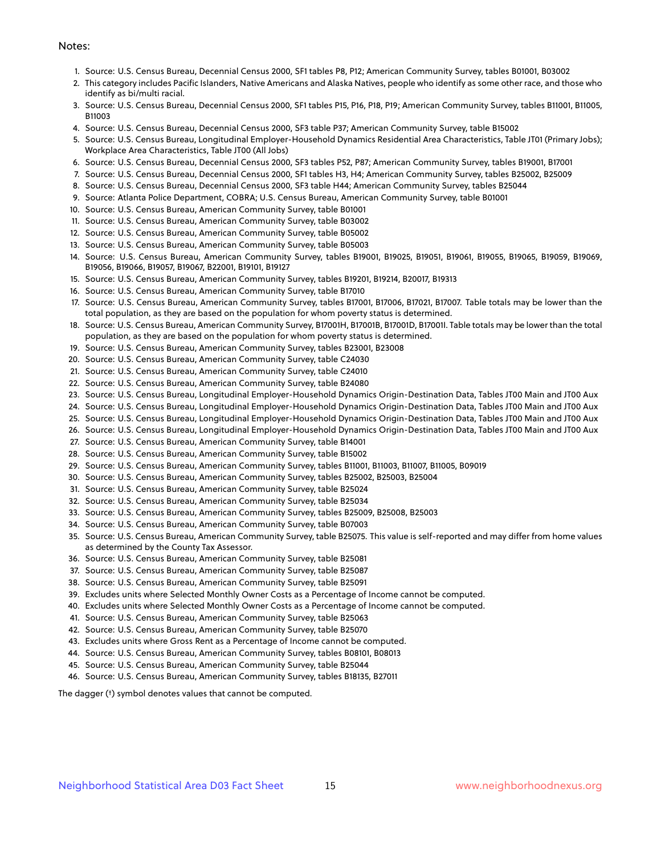#### Notes:

- 1. Source: U.S. Census Bureau, Decennial Census 2000, SF1 tables P8, P12; American Community Survey, tables B01001, B03002
- 2. This category includes Pacific Islanders, Native Americans and Alaska Natives, people who identify as some other race, and those who identify as bi/multi racial.
- 3. Source: U.S. Census Bureau, Decennial Census 2000, SF1 tables P15, P16, P18, P19; American Community Survey, tables B11001, B11005, B11003
- 4. Source: U.S. Census Bureau, Decennial Census 2000, SF3 table P37; American Community Survey, table B15002
- 5. Source: U.S. Census Bureau, Longitudinal Employer-Household Dynamics Residential Area Characteristics, Table JT01 (Primary Jobs); Workplace Area Characteristics, Table JT00 (All Jobs)
- 6. Source: U.S. Census Bureau, Decennial Census 2000, SF3 tables P52, P87; American Community Survey, tables B19001, B17001
- 7. Source: U.S. Census Bureau, Decennial Census 2000, SF1 tables H3, H4; American Community Survey, tables B25002, B25009
- 8. Source: U.S. Census Bureau, Decennial Census 2000, SF3 table H44; American Community Survey, tables B25044
- 9. Source: Atlanta Police Department, COBRA; U.S. Census Bureau, American Community Survey, table B01001
- 10. Source: U.S. Census Bureau, American Community Survey, table B01001
- 11. Source: U.S. Census Bureau, American Community Survey, table B03002
- 12. Source: U.S. Census Bureau, American Community Survey, table B05002
- 13. Source: U.S. Census Bureau, American Community Survey, table B05003
- 14. Source: U.S. Census Bureau, American Community Survey, tables B19001, B19025, B19051, B19061, B19055, B19065, B19059, B19069, B19056, B19066, B19057, B19067, B22001, B19101, B19127
- 15. Source: U.S. Census Bureau, American Community Survey, tables B19201, B19214, B20017, B19313
- 16. Source: U.S. Census Bureau, American Community Survey, table B17010
- 17. Source: U.S. Census Bureau, American Community Survey, tables B17001, B17006, B17021, B17007. Table totals may be lower than the total population, as they are based on the population for whom poverty status is determined.
- 18. Source: U.S. Census Bureau, American Community Survey, B17001H, B17001B, B17001D, B17001I. Table totals may be lower than the total population, as they are based on the population for whom poverty status is determined.
- 19. Source: U.S. Census Bureau, American Community Survey, tables B23001, B23008
- 20. Source: U.S. Census Bureau, American Community Survey, table C24030
- 21. Source: U.S. Census Bureau, American Community Survey, table C24010
- 22. Source: U.S. Census Bureau, American Community Survey, table B24080
- 23. Source: U.S. Census Bureau, Longitudinal Employer-Household Dynamics Origin-Destination Data, Tables JT00 Main and JT00 Aux
- 24. Source: U.S. Census Bureau, Longitudinal Employer-Household Dynamics Origin-Destination Data, Tables JT00 Main and JT00 Aux
- 25. Source: U.S. Census Bureau, Longitudinal Employer-Household Dynamics Origin-Destination Data, Tables JT00 Main and JT00 Aux
- 26. Source: U.S. Census Bureau, Longitudinal Employer-Household Dynamics Origin-Destination Data, Tables JT00 Main and JT00 Aux
- 27. Source: U.S. Census Bureau, American Community Survey, table B14001
- 28. Source: U.S. Census Bureau, American Community Survey, table B15002
- 29. Source: U.S. Census Bureau, American Community Survey, tables B11001, B11003, B11007, B11005, B09019
- 30. Source: U.S. Census Bureau, American Community Survey, tables B25002, B25003, B25004
- 31. Source: U.S. Census Bureau, American Community Survey, table B25024
- 32. Source: U.S. Census Bureau, American Community Survey, table B25034
- 33. Source: U.S. Census Bureau, American Community Survey, tables B25009, B25008, B25003
- 34. Source: U.S. Census Bureau, American Community Survey, table B07003
- 35. Source: U.S. Census Bureau, American Community Survey, table B25075. This value is self-reported and may differ from home values as determined by the County Tax Assessor.
- 36. Source: U.S. Census Bureau, American Community Survey, table B25081
- 37. Source: U.S. Census Bureau, American Community Survey, table B25087
- 38. Source: U.S. Census Bureau, American Community Survey, table B25091
- 39. Excludes units where Selected Monthly Owner Costs as a Percentage of Income cannot be computed.
- 40. Excludes units where Selected Monthly Owner Costs as a Percentage of Income cannot be computed.
- 41. Source: U.S. Census Bureau, American Community Survey, table B25063
- 42. Source: U.S. Census Bureau, American Community Survey, table B25070
- 43. Excludes units where Gross Rent as a Percentage of Income cannot be computed.
- 44. Source: U.S. Census Bureau, American Community Survey, tables B08101, B08013
- 45. Source: U.S. Census Bureau, American Community Survey, table B25044
- 46. Source: U.S. Census Bureau, American Community Survey, tables B18135, B27011

The dagger (†) symbol denotes values that cannot be computed.